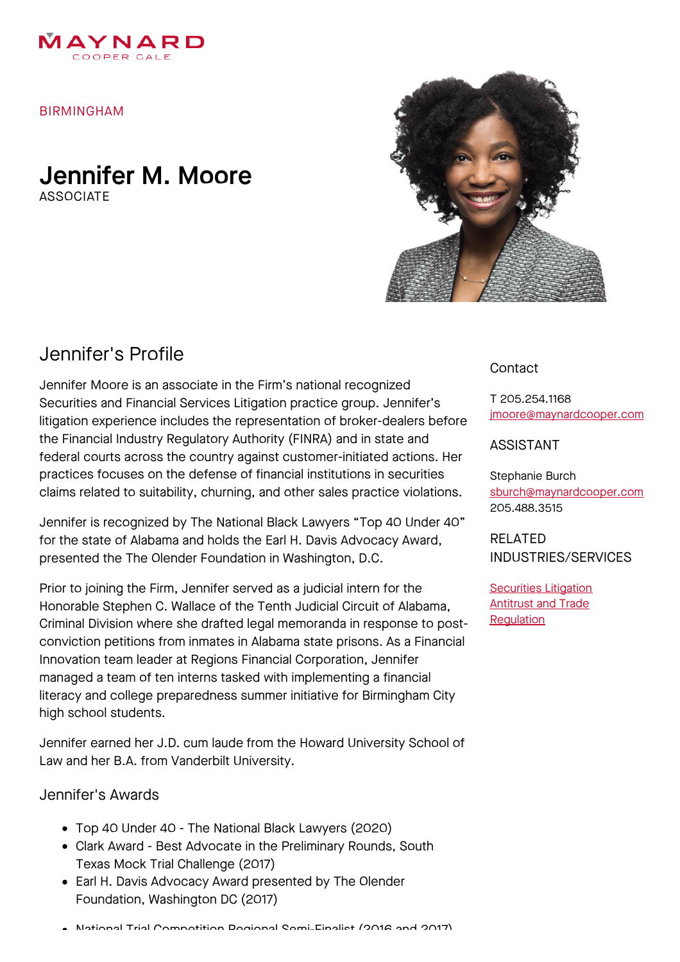

BIRMINGHAM

### Jennifer M. Moore **ASSOCIATE**



# Jennifer's Profile

Jennifer Moore is an associate in the Firm's national recognized Securities and Financial Services Litigation practice group. Jennifer's litigation experience includes the representation of broker-dealers before the Financial Industry Regulatory Authority (FINRA) and in state and federal courts across the country against customer-initiated actions. Her practices focuses on the defense of financial institutions in securities claims related to suitability, churning, and other sales practice violations.

Jennifer is recognized by The National Black Lawyers "Top 40 Under 40" for the state of Alabama and holds the Earl H. Davis Advocacy Award, presented the The Olender Foundation in Washington, D.C.

Prior to joining the Firm, Jennifer served as a judicial intern for the Honorable Stephen C. Wallace of the Tenth Judicial Circuit of Alabama, Criminal Division where she drafted legal memoranda in response to postconviction petitions from inmates in Alabama state prisons. As a Financial Innovation team leader at Regions Financial Corporation, Jennifer managed a team of ten interns tasked with implementing a financial literacy and college preparedness summer initiative for Birmingham City high school students.

Jennifer earned her J.D. cum laude from the Howard University School of Law and her B.A. from Vanderbilt University.

#### Jennifer's Awards

- Top 40 Under 40 The National Black Lawyers (2020)
- Clark Award Best Advocate in the Preliminary Rounds, South Texas Mock Trial Challenge (2017)
- Earl H. Davis Advocacy Award presented by The Olender Foundation, Washington DC (2017)

# [jmoore@maynardcooper.com](file:///home/maynardcooper/storage/runtime/temp/enupalsnapshottemp/jmoore@maynardcooper.com)

ASSISTANT

T 205.254.1168

**Contact** 

Stephanie Burch [sburch@maynardcooper.com](file:///home/maynardcooper/storage/runtime/temp/enupalsnapshottemp/sburch@maynardcooper.com) 205.488.3515

RELATED INDUSTRIES/SERVICES

**[Securities](https://www.maynardcooper.com/services/securities-litigation) Litigation Antitrust and Trade Requlation**